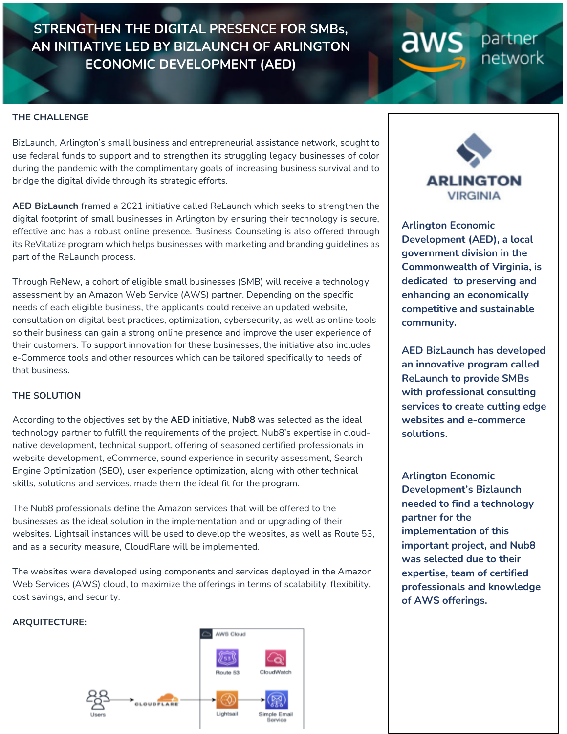**STRENGTHEN THE DIGITAL PRESENCE FOR SMBs, AN INITIATIVE LED BY BIZLAUNCH OF ARLINGTON ECONOMIC DEVELOPMENT (AED)**

### **THE CHALLENGE**

BizLaunch, Arlington's small business and entrepreneurial assistance network, sought to use federal funds to support and to strengthen its struggling legacy businesses of color during the pandemic with the complimentary goals of increasing business survival and to bridge the digital divide through its strategic efforts.

**AED BizLaunch** framed a 2021 initiative called ReLaunch which seeks to strengthen the digital footprint of small businesses in Arlington by ensuring their technology is secure, effective and has a robust online presence. Business Counseling is also offered through its ReVitalize program which helps businesses with marketing and branding guidelines as part of the ReLaunch process.

Through ReNew, a cohort of eligible small businesses (SMB) will receive a technology assessment by an Amazon Web Service (AWS) partner. Depending on the specific needs of each eligible business, the applicants could receive an updated website, consultation on digital best practices, optimization, cybersecurity, as well as online tools so their business can gain a strong online presence and improve the user experience of their customers. To support innovation for these businesses, the initiative also includes e-Commerce tools and other resources which can be tailored specifically to needs of that business.

### **THE SOLUTION**

According to the objectives set by the **AED** initiative, **Nub8** was selected as the ideal technology partner to fulfill the requirements of the project. Nub8's expertise in cloudnative development, technical support, offering of seasoned certified professionals in website development, eCommerce, sound experience in security assessment, Search Engine Optimization (SEO), user experience optimization, along with other technical skills, solutions and services, made them the ideal fit for the program.

The Nub8 professionals define the Amazon services that will be offered to the businesses as the ideal solution in the implementation and or upgrading of their websites. Lightsail instances will be used to develop the websites, as well as Route 53, and as a security measure, CloudFlare will be implemented.

The websites were developed using components and services deployed in the Amazon Web Services (AWS) cloud, to maximize the offerings in terms of scalability, flexibility, cost savings, and security.

### **ARQUITECTURE:**





aws

partner

network

**Arlington Economic Development (AED), a local government division in the Commonwealth of Virginia, is dedicated to preserving and enhancing an economically competitive and sustainable community.** 

**AED BizLaunch has developed an innovative program called ReLaunch to provide SMBs with professional consulting services to create cutting edge websites and e-commerce solutions.** 

**Arlington Economic Development's Bizlaunch needed to find a technology partner for the implementation of this important project, and Nub8 was selected due to their expertise, team of certified professionals and knowledge of AWS offerings.**